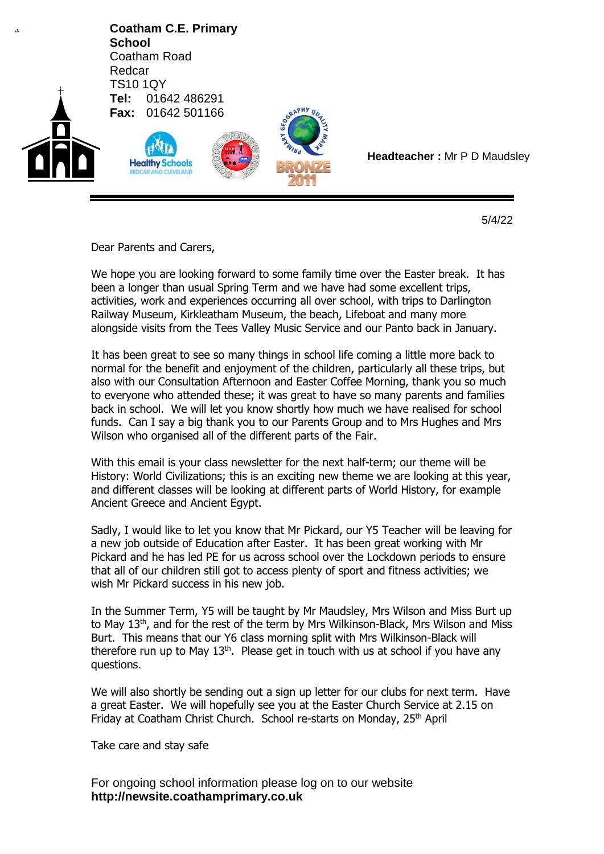

5/4/22

Dear Parents and Carers,

We hope you are looking forward to some family time over the Easter break. It has been a longer than usual Spring Term and we have had some excellent trips, activities, work and experiences occurring all over school, with trips to Darlington Railway Museum, Kirkleatham Museum, the beach, Lifeboat and many more alongside visits from the Tees Valley Music Service and our Panto back in January.

It has been great to see so many things in school life coming a little more back to normal for the benefit and enjoyment of the children, particularly all these trips, but also with our Consultation Afternoon and Easter Coffee Morning, thank you so much to everyone who attended these; it was great to have so many parents and families back in school. We will let you know shortly how much we have realised for school funds. Can I say a big thank you to our Parents Group and to Mrs Hughes and Mrs Wilson who organised all of the different parts of the Fair.

With this email is your class newsletter for the next half-term; our theme will be History: World Civilizations; this is an exciting new theme we are looking at this year, and different classes will be looking at different parts of World History, for example Ancient Greece and Ancient Egypt.

Sadly, I would like to let you know that Mr Pickard, our Y5 Teacher will be leaving for a new job outside of Education after Easter. It has been great working with Mr Pickard and he has led PE for us across school over the Lockdown periods to ensure that all of our children still got to access plenty of sport and fitness activities; we wish Mr Pickard success in his new job.

In the Summer Term, Y5 will be taught by Mr Maudsley, Mrs Wilson and Miss Burt up to May 13<sup>th</sup>, and for the rest of the term by Mrs Wilkinson-Black, Mrs Wilson and Miss Burt. This means that our Y6 class morning split with Mrs Wilkinson-Black will therefore run up to May  $13<sup>th</sup>$ . Please get in touch with us at school if you have any questions.

We will also shortly be sending out a sign up letter for our clubs for next term. Have a great Easter. We will hopefully see you at the Easter Church Service at 2.15 on Friday at Coatham Christ Church. School re-starts on Monday, 25<sup>th</sup> April

Take care and stay safe

For ongoing school information please log on to our website **http://newsite.coathamprimary.co.uk**